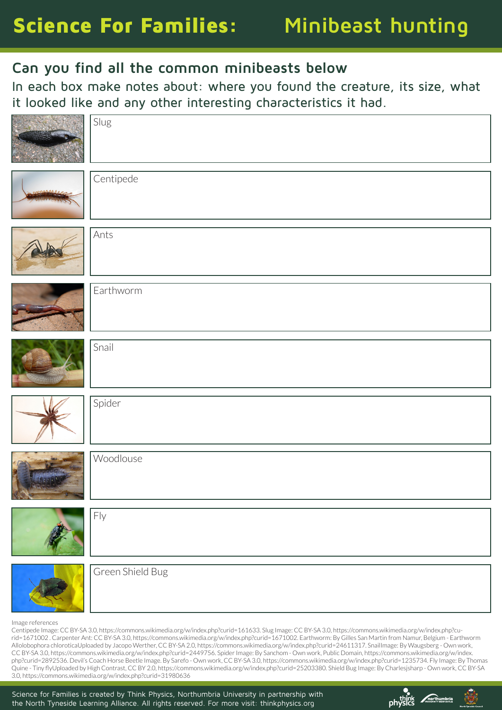## Science For Families: **Minibeast hunting**

## **Can you find all the common minibeasts below**

In each box make notes about: where you found the creature, its size, what it looked like and any other interesting characteristics it had.



Image references

Centipede Image: CC BY-SA 3.0, https://commons.wikimedia.org/w/index.php?curid=161633. Slug Image: CC BY-SA 3.0, https://commons.wikimedia.org/w/index.php?curid=1671002 . Carpenter Ant: CC BY-SA 3.0, https://commons.wikimedia.org/w/index.php?curid=1671002. Earthworm: By Gilles San Martin from Namur, Belgium - Earthworm Allolobophora chloroticaUploaded by Jacopo Werther, CC BY-SA 2.0, https://commons.wikimedia.org/w/index.php?curid=24611317. SnailImage: By Waugsberg - Own work, CC BY-SA 3.0, https://commons.wikimedia.org/w/index.php?curid=2449756. Spider Image: By Sanchom - Own work, Public Domain, https://commons.wikimedia.org/w/index. php?curid=2892536. Devil's Coach Horse Beetle Image. By Sarefo - Own work, CC BY-SA 3.0, https://commons.wikimedia.org/w/index.php?curid=1235734. Fly Image: By Thomas Quine - Tiny flyUploaded by High Contrast, CC BY 2.0, https://commons.wikimedia.org/w/index.php?curid=25203380. Shield Bug Image: By Charlesjsharp - Own work, CC BY-SA 3.0, https://commons.wikimedia.org/w/index.php?curid=31980636